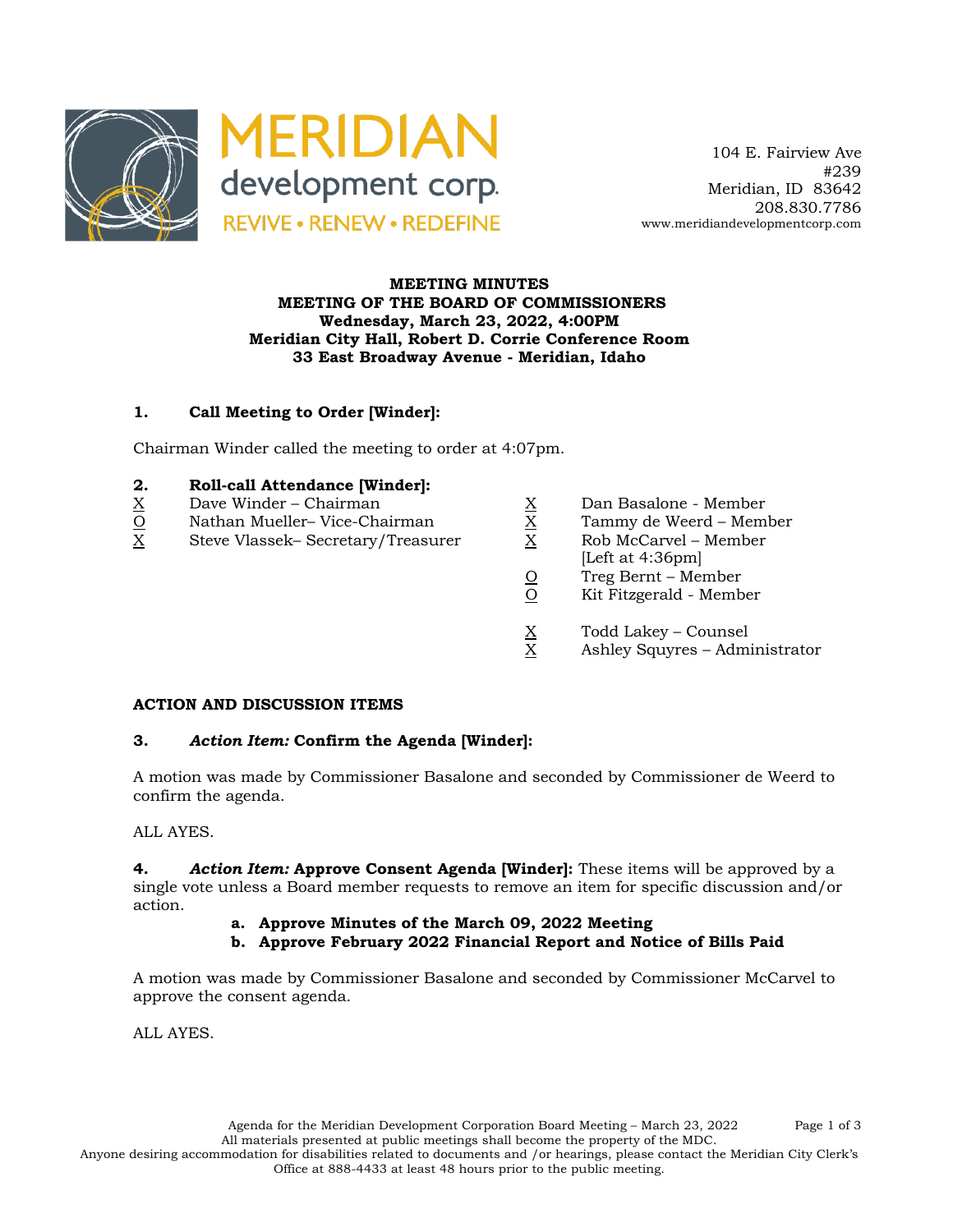

## **MEETING MINUTES MEETING OF THE BOARD OF COMMISSIONERS Wednesday, March 23, 2022, 4:00PM Meridian City Hall, Robert D. Corrie Conference Room 33 East Broadway Avenue - Meridian, Idaho**

## **1. Call Meeting to Order [Winder]:**

Chairman Winder called the meeting to order at 4:07pm.

#### **2. Roll-call Attendance [Winder]:**

- 
- $X$  Dave Winder Chairman  $\overline{X}$  Dan Basalone Member<br>  $\overline{X}$  Dan Basalone Member<br>
X Tammy de Weerd Mem<br>
X Rob McCarvel Member O Nathan Mueller– Vice-Chairman X Tammy de Weerd – Member
- X Steve Vlassek– Secretary/Treasurer X Rob McCarvel Member
- 
- -
	- [Left at 4:36pm]
	- $\frac{O}{O}$  Treg Bernt Member<br>O Kit Fitzgerald Memb
	- Kit Fitzgerald Member
	- $X$  Todd Lakey Counsel<br>X Ashley Squyres Adm
	- Ashley Squyres Administrator

#### **ACTION AND DISCUSSION ITEMS**

## **3.** *Action Item:* **Confirm the Agenda [Winder]:**

A motion was made by Commissioner Basalone and seconded by Commissioner de Weerd to confirm the agenda.

## ALL AYES.

**4.** *Action Item:* **Approve Consent Agenda [Winder]:** These items will be approved by a single vote unless a Board member requests to remove an item for specific discussion and/or action.

- **a. Approve Minutes of the March 09, 2022 Meeting**
- **b. Approve February 2022 Financial Report and Notice of Bills Paid**

A motion was made by Commissioner Basalone and seconded by Commissioner McCarvel to approve the consent agenda.

ALL AYES.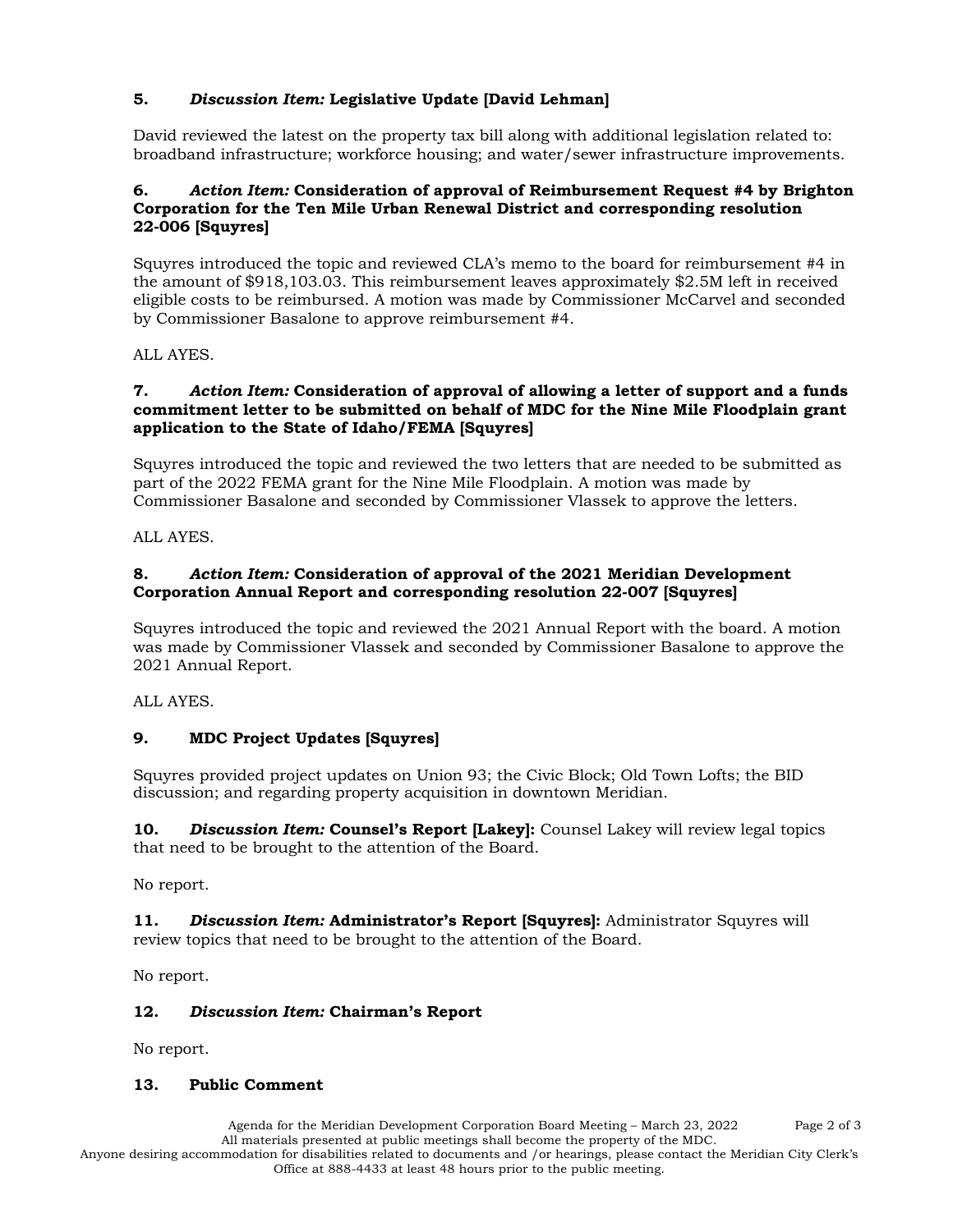# **5.** *Discussion Item:* **Legislative Update [David Lehman]**

David reviewed the latest on the property tax bill along with additional legislation related to: broadband infrastructure; workforce housing; and water/sewer infrastructure improvements.

#### **6.** *Action Item:* **Consideration of approval of Reimbursement Request #4 by Brighton Corporation for the Ten Mile Urban Renewal District and corresponding resolution 22-006 [Squyres]**

Squyres introduced the topic and reviewed CLA's memo to the board for reimbursement #4 in the amount of \$918,103.03. This reimbursement leaves approximately \$2.5M left in received eligible costs to be reimbursed. A motion was made by Commissioner McCarvel and seconded by Commissioner Basalone to approve reimbursement #4.

ALL AYES.

#### **7.** *Action Item:* **Consideration of approval of allowing a letter of support and a funds commitment letter to be submitted on behalf of MDC for the Nine Mile Floodplain grant application to the State of Idaho/FEMA [Squyres]**

Squyres introduced the topic and reviewed the two letters that are needed to be submitted as part of the 2022 FEMA grant for the Nine Mile Floodplain. A motion was made by Commissioner Basalone and seconded by Commissioner Vlassek to approve the letters.

ALL AYES.

## **8.** *Action Item:* **Consideration of approval of the 2021 Meridian Development Corporation Annual Report and corresponding resolution 22-007 [Squyres]**

Squyres introduced the topic and reviewed the 2021 Annual Report with the board. A motion was made by Commissioner Vlassek and seconded by Commissioner Basalone to approve the 2021 Annual Report.

ALL AYES.

# **9. MDC Project Updates [Squyres]**

Squyres provided project updates on Union 93; the Civic Block; Old Town Lofts; the BID discussion; and regarding property acquisition in downtown Meridian.

**10.** *Discussion Item:* **Counsel's Report [Lakey]:** Counsel Lakey will review legal topics that need to be brought to the attention of the Board.

No report.

**11.** *Discussion Item:* **Administrator's Report [Squyres]:** Administrator Squyres will review topics that need to be brought to the attention of the Board.

No report.

## **12.** *Discussion Item:* **Chairman's Report**

No report.

## **13. Public Comment**

Agenda for the Meridian Development Corporation Board Meeting – March 23, 2022 Page 2 of 3 All materials presented at public meetings shall become the property of the MDC. Anyone desiring accommodation for disabilities related to documents and /or hearings, please contact the Meridian City Clerk's